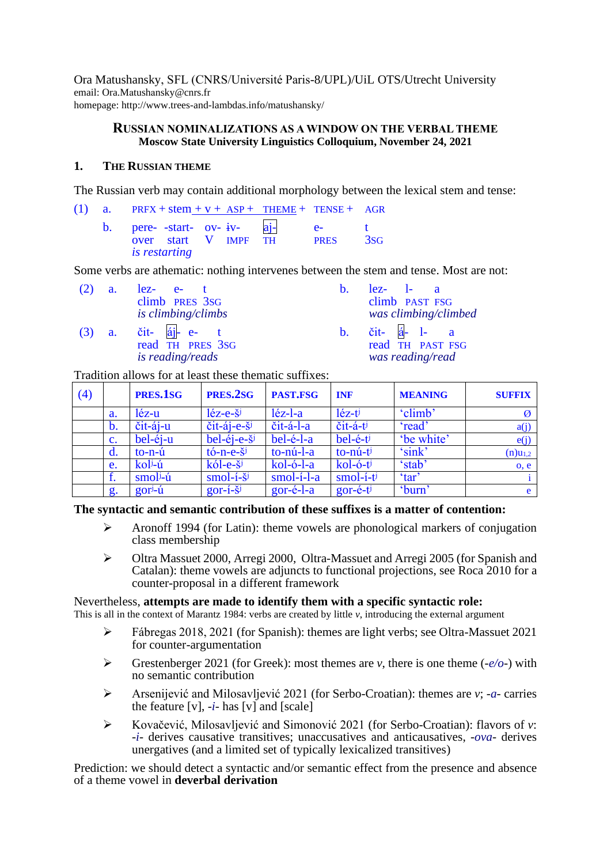Ora Matushansky, SFL (CNRS/Université Paris-8/UPL)/UiL OTS/Utrecht University email: Ora.Mаtushаnsky@cnrs.fr homepage: http://www.trees-and-lambdas.info/matushansky/

# **RUSSIAN NOMINALIZATIONS AS A WINDOW ON THE VERBAL THEME Moscow State University Linguistics Colloquium, November 24, 2021**

# **1. THE RUSSIAN THEME**

The Russian verb may contain additional morphology between the lexical stem and tense:

(1) a. PRFX + stem  $+ v + ASP + THEME + TENSE + AGR$ 

b. pere- -start- ov- iv- aj- e- t over start V IMPF TH PRES 3SG *is restarting*

Some verbs are athematic: nothing intervenes between the stem and tense. Most are not:

- $(2)$  a. lez- eclimb PRES 3SG *is climbing/climbs*
- $(3)$  a. čit- áj- e- t read TH PRES 3SG *is reading/reads*
- b. lez-  $l a$ climb PAST FSG *was climbing/climbed*
- b. čit- á- l- a read TH PAST FSG *was reading/read*

Tradition allows for at least these thematic suffixes:

<span id="page-0-0"></span>

| (4) |                | PRES.1SG       | PRES.2SG                                   | PAST.FSG     | <b>INF</b>                     | <b>MEANING</b> | <b>SUFFIX</b> |
|-----|----------------|----------------|--------------------------------------------|--------------|--------------------------------|----------------|---------------|
|     | a.             | léz-u          | $l$ éz-e- $\check{s}^j$                    | $l$ éz-l-a   | $l$ éz-t $j$                   | 'climb'        |               |
|     | b.             | čit-áj-u       | $\check{c}$ it-áj-e-š $\check{c}$          | čit-á-l-a    | $\check{c}$ it-á-t $\check{v}$ | 'read'         | a(j)          |
|     | $\mathbf{c}$ . | bel-éj-u       | $bel-éj-e-šj$                              | bel-é-l-a    | bel-é-ti                       | 'be white'     | e(j)          |
|     | d.             | $to-n-\hat{u}$ | $t\acute{o}$ -n-e- $\ddot{s}$ <sup>j</sup> | to-nú-l-a    | $to$ -nú-ti                    | 'sink'         | $(n)u_{1,2}$  |
|     | e.             | koli-ú         | $k$ ól-e-š $^{j}$                          | $kol-o-l-a$  | $kol-6-tj$                     | 'stab'         | o, e          |
|     |                | $smolj$ -ú     | $smol-i-šj$                                | $smol-1-l-a$ | $smol-i-tj$                    | 'tar'          |               |
|     | g.             | $gorj-ti$      | $gor-1-\xi$                                | $gor-é-l-a$  | $gor-\'e-tj$                   | 'burn'         | e             |

# **The syntactic and semantic contribution of these suffixes is a matter of contention:**

- ➢ Aronoff 1994 (for Latin): theme vowels are phonological markers of conjugation class membership
- ➢ Oltra Massuet 2000, Arregi 2000, Oltra-Massuet and Arregi 2005 (for Spanish and Catalan): theme vowels are adjuncts to functional projections, see Roca 2010 for a counter-proposal in a different framework

# Nevertheless, **attempts are made to identify them with a specific syntactic role:**

This is all in the context of Marantz 1984: verbs are created by little *v*, introducing the external argument

- ➢ Fábregas 2018, 2021 (for Spanish): themes are light verbs; see Oltra-Massuet 2021 for counter-argumentation
- ➢ Grestenberger 2021 (for Greek): most themes are *v*, there is one theme (-*e/o*-) with no semantic contribution
- ➢ Arsenijević and Milosavljević 2021 (for Serbo-Croatian): themes are *v*; -*a* carries the feature  $[v]$ ,  $-i$ - has  $[v]$  and  $[scale]$
- ➢ Kovačević, Milosavljević and Simonović 2021 (for Serbo-Croatian): flavors of *v*: -*i*- derives causative transitives; unaccusatives and anticausatives, -*ova*- derives unergatives (and a limited set of typically lexicalized transitives)

Prediction: we should detect a syntactic and/or semantic effect from the presence and absence of a theme vowel in **deverbal derivation**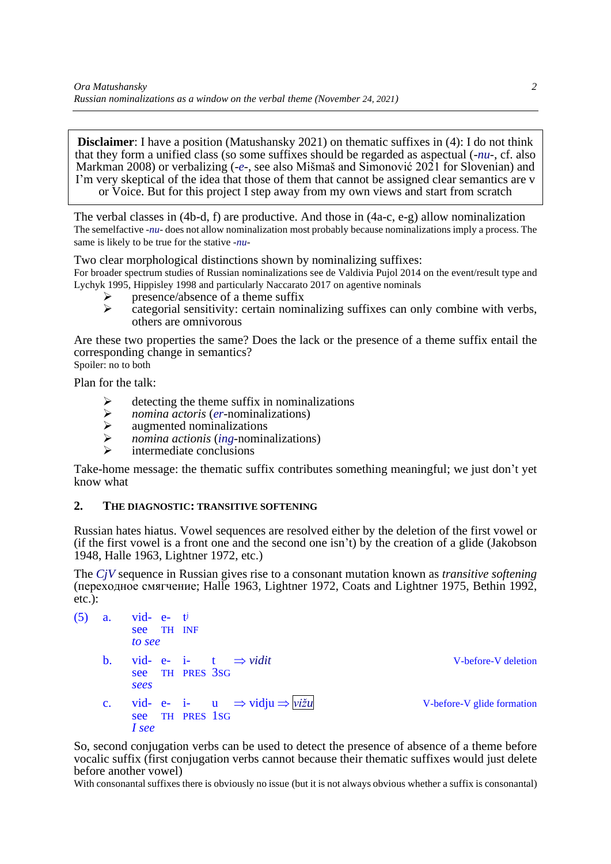**Disclaimer**: I have a position (Matushansky 2021) on thematic suffixes in [\(4\)](#page-0-0): I do not think that they form a unified class (so some suffixes should be regarded as aspectual (-*nu*-, cf. also Markman 2008) or verbalizing (-*e*-, see also Mišmaš and Simonović 2021 for Slovenian) and I'm very skeptical of the idea that those of them that cannot be assigned clear semantics are v or Voice. But for this project I step away from my own views and start from scratch

The verbal classes in [\(4b](#page-0-0)-d, f) are productive. And those in [\(4a](#page-0-0)-c, e-g) allow nominalization The semelfactive -*nu*- does not allow nominalization most probably because nominalizations imply a process. The same is likely to be true for the stative -*nu*-

Two clear morphological distinctions shown by nominalizing suffixes:

For broader spectrum studies of Russian nominalizations see de Valdivia Pujol 2014 on the event/result type and Lychyk 1995, Hippisley 1998 and particularly Naccarato 2017 on agentive nominals

- $\triangleright$  presence/absence of a theme suffix<br> $\triangleright$  categorial sensitivity: certain nominal
- ➢ categorial sensitivity: certain nominalizing suffixes can only combine with verbs, others are omnivorous

Are these two properties the same? Does the lack or the presence of a theme suffix entail the corresponding change in semantics? Spoiler: no to both

Plan for the talk:

- $\geq$  detecting the theme suffix in nominalizations<br> $\geq$  *nomina actoris (er*-nominalizations)
- ➢ *nomina actoris* (*er*-nominalizations)
- $\geq$  augmented nominalizations<br> $\geq$  *nomina actionis (ing-nomina*)
- ➢ *nomina actionis* (*ing*-nominalizations)
- intermediate conclusions

Take-home message: the thematic suffix contributes something meaningful; we just don't yet know what

# **2. THE DIAGNOSTIC: TRANSITIVE SOFTENING**

Russian hates hiatus. Vowel sequences are resolved either by the deletion of the first vowel or (if the first vowel is a front one and the second one isn't) by the creation of a glide (Jakobson 1948, Halle 1963, Lightner 1972, etc.)

The *CjV* sequence in Russian gives rise to a consonant mutation known as *transitive softening* (переходное смягчение; Halle 1963, Lightner 1972, Coats and Lightner 1975, Bethin 1992, etc.):

| (5) | a.             | $vid$ - $e$ - $t^j$ |                 |                                                     |                            |
|-----|----------------|---------------------|-----------------|-----------------------------------------------------|----------------------------|
|     |                | see TH INF          |                 |                                                     |                            |
|     |                | to see              |                 |                                                     |                            |
|     | $\mathbf{b}$ . |                     |                 | vid- e- i- t $\Rightarrow$ vidit                    | V-before-V deletion        |
|     |                |                     | see TH PRES 3SG |                                                     |                            |
|     |                | sees                |                 |                                                     |                            |
|     | $\mathbf{c}$ . |                     |                 | vid- e- i- u $\Rightarrow$ vidju $\Rightarrow$ vižu | V-before-V glide formation |
|     |                | see                 | TH PRES 1SG     |                                                     |                            |
|     |                | I see               |                 |                                                     |                            |

So, second conjugation verbs can be used to detect the presence of absence of a theme before vocalic suffix (first conjugation verbs cannot because their thematic suffixes would just delete before another vowel)

With consonantal suffixes there is obviously no issue (but it is not always obvious whether a suffix is consonantal)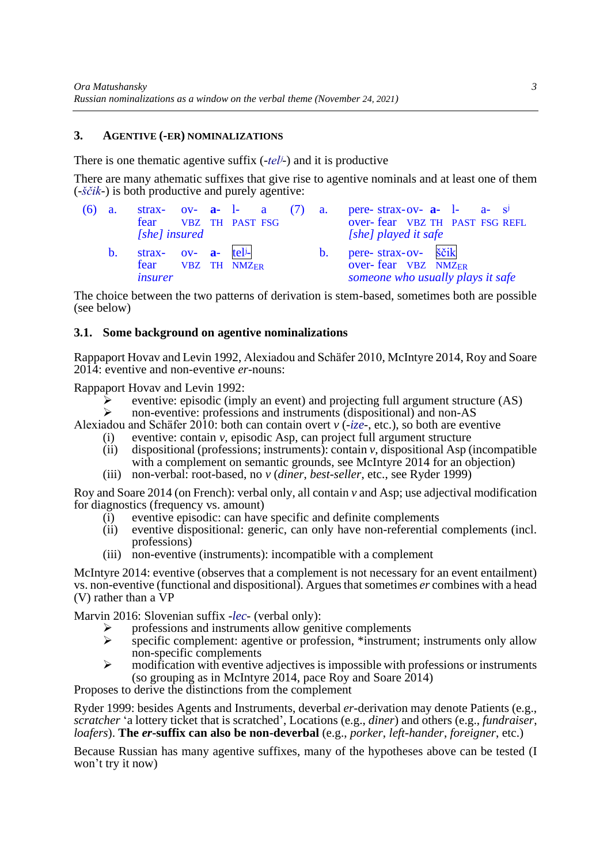## **3. AGENTIVE (-ER) NOMINALIZATIONS**

There is one thematic agentive suffix (-*telʲ*-) and it is productive

There are many athematic suffixes that give rise to agentive nominals and at least one of them (-*ščik*-) is both productive and purely agentive:

| (6) | a.             |                                                                                               |  | strax- ov- $a-$ 1- a (7) a. |  | pere-strax-ov- $a-1$ - $a- s^j$                                                              |
|-----|----------------|-----------------------------------------------------------------------------------------------|--|-----------------------------|--|----------------------------------------------------------------------------------------------|
|     |                |                                                                                               |  | fear VBZ TH PAST FSG        |  | over-fear VBZ TH PAST FSG REFL                                                               |
|     |                | [she] insured                                                                                 |  |                             |  | [she] played it safe                                                                         |
|     | $\mathbf{b}$ . | strax- $ov-$ <b>a</b> - tel <sup>j</sup> -<br>fear VBZ TH NMZ <sub>ER</sub><br><i>insurer</i> |  |                             |  | pere- strax-ov- ščik<br>over-fear VBZ NMZ <sub>ER</sub><br>someone who usually plays it safe |

The choice between the two patterns of derivation is stem-based, sometimes both are possible (see below)

## **3.1. Some background on agentive nominalizations**

Rappaport Hovav and Levin 1992, Alexiadou and Schäfer 2010, McIntyre 2014, Roy and Soare 2014: eventive and non-eventive *er-*nouns:

Rappaport Hovav and Levin 1992:

- ➢ eventive: episodic (imply an event) and projecting full argument structure (AS)
- ➢ non-eventive: professions and instruments (dispositional) and non-AS

Alexiadou and Schäfer 2010: both can contain overt *v* (-*ize*-, etc.), so both are eventive (i) eventive: contain *v*, episodic Asp, can project full argument structure

- (ii) dispositional (professions; instruments): contain *v*, dispositional Asp (incompatible with a complement on semantic grounds, see McIntyre 2014 for an objection)
- (iii) non-verbal: root-based, no *v* (*diner*, *best-seller*, etc., see Ryder 1999)

Roy and Soare 2014 (on French): verbal only, all contain *v* and Asp; use adjectival modification for diagnostics (frequency vs. amount)

- (i) eventive episodic: can have specific and definite complements
- (ii) eventive dispositional: generic, can only have non-referential complements (incl. professions)
- (iii) non-eventive (instruments): incompatible with a complement

McIntyre 2014: eventive (observes that a complement is not necessary for an event entailment) vs. non-eventive (functional and dispositional). Argues that sometimes *er* combines with a head (V) rather than a VP

Marvin 2016: Slovenian suffix -*lec*- (verbal only):

- $\triangleright$  professions and instruments allow genitive complements specific complements agentive or profession \*instruments
- specific complement: agentive or profession, \*instrument; instruments only allow non-specific complements
- $\triangleright$  modification with eventive adjectives is impossible with professions or instruments (so grouping as in McIntyre 2014, pace Roy and Soare 2014)

Proposes to derive the distinctions from the complement

Ryder 1999: besides Agents and Instruments, deverbal *er*-derivation may denote Patients (e.g., *scratcher* 'a lottery ticket that is scratched', Locations (e.g., *diner*) and others (e.g., *fundraiser*, *loafers*). **The** *er***-suffix can also be non-deverbal** (e.g., *porker*, *left-hander*, *foreigner*, etc.)

Because Russian has many agentive suffixes, many of the hypotheses above can be tested (I won't try it now)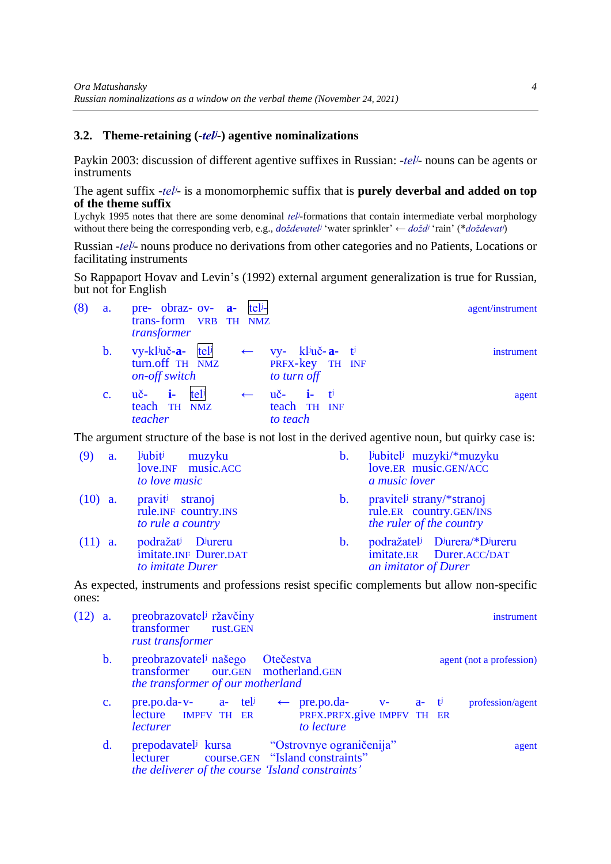## **3.2. Theme-retaining (-***telʲ***-) agentive nominalizations**

Paykin 2003: discussion of different agentive suffixes in Russian: -*telʲ*- nouns can be agents or instruments

The agent suffix -*telʲ*- is a monomorphemic suffix that is **purely deverbal and added on top of the theme suffix**

Lychyk 1995 notes that there are some denominal *telʲ*-formations that contain intermediate verbal morphology without there being the corresponding verb, e.g., *doždevatelʲ* 'water sprinkler' ← *doždʲ* 'rain' (\**doždevatʲ*)

Russian -*telʲ*- nouns produce no derivations from other categories and no Patients, Locations or facilitating instruments

So Rappaport Hovav and Levin's (1992) external argument generalization is true for Russian, but not for English

<span id="page-3-0"></span>

| agent/instrument |                                                                   |              | pre- obraz- ov- $a-$ tel-<br>trans-form VRB TH NMZ<br>transformer | a.             | (8) |
|------------------|-------------------------------------------------------------------|--------------|-------------------------------------------------------------------|----------------|-----|
| instrument       | $vy - k1ju\v{c-a-tj}$<br>PRFX-key TH INF<br>to turn off           | $\leftarrow$ | vy-ključ-a- telj<br>turn.off TH NMZ<br>on-off switch              | $\mathbf b$ .  |     |
| agent            | $u\check{c}$ <b>i</b> - $t^{\dagger}$<br>teach TH INF<br>to teach |              | $\mathbf{i}$<br>tel<br>$\mathbf{u}$ č-<br>teach TH NMZ<br>teacher | $\mathbf{c}$ . |     |

The argument structure of the base is not lost in the derived agentive noun, but quirky case is:

| (9)       | a. | <i>liubiti</i><br>muzyku<br>love.INF music.ACC<br>to love music                                | $\mathbf b$ .  | liubiteli muzyki/*muzyku<br>love.ER music.GEN/ACC<br>a music lover                                                     |
|-----------|----|------------------------------------------------------------------------------------------------|----------------|------------------------------------------------------------------------------------------------------------------------|
| $(10)$ a. |    | pravit <sup>j</sup> stranoj<br>rule.INF country.INS<br>to rule a country                       | $\mathbf{b}$ . | pravitel strany/*stranoj<br>rule.ER country.GEN/INS<br>the ruler of the country                                        |
| $(11)$ a. |    | podražat <sup>j</sup> D <sup>j</sup> ureru<br>imitate.INF Durer.DAT<br>to <i>imitate</i> Durer | $\mathbf b$ .  | podražatel <sup>j</sup> D <sup>j</sup> urera/*D <sup>j</sup> ureru<br>imitate.ER Durer.ACC/DAT<br>an imitator of Durer |

As expected, instruments and professions resist specific complements but allow non-specific ones:

<span id="page-3-1"></span>

| $(12)$ a. |                | preobrazovatel <sup>j</sup> ržavčiny<br>transformer rust.GEN<br>rust transformer                                                |                                                                                                                                  |  | <i>instrument</i>        |
|-----------|----------------|---------------------------------------------------------------------------------------------------------------------------------|----------------------------------------------------------------------------------------------------------------------------------|--|--------------------------|
|           | $\mathbf{b}$ . | preobrazovatel <sup>j</sup> našego Otečestva<br>transformer our.GEN motherland.GEN<br>the transformer of our motherland         |                                                                                                                                  |  | agent (not a profession) |
|           | $\mathbf{c}$ . | lecture IMPFV TH ER<br><i>lecturer</i>                                                                                          | pre.po.da-v- a- tel <sup>j</sup> $\leftarrow$ pre.po.da- v- a- t <sup>j</sup><br>PRFX.PRFX.give IMPFV TH ER<br>to <i>lecture</i> |  | profession/agent         |
|           | $d_{\cdot}$    | prepodavatel <sup>j</sup> kursa<br>lecturer course.GEN "Island constraints"<br>the deliverer of the course 'Island constraints' | "Ostrovnye ograničenija"                                                                                                         |  | agent                    |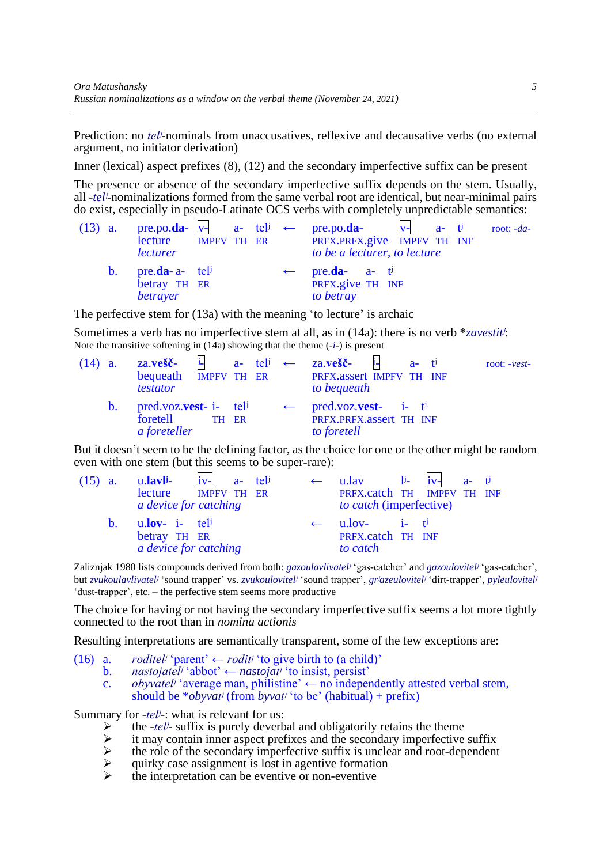Prediction: no *tel<sup>j</sup>*-nominals from unaccusatives, reflexive and decausative verbs (no external argument, no initiator derivation)

Inner (lexical) aspect prefixes [\(8\)](#page-3-0), [\(12\)](#page-3-1) and the secondary imperfective suffix can be present

The presence or absence of the secondary imperfective suffix depends on the stem. Usually, all -*telʲ*-nominalizations formed from the same verbal root are identical, but near-minimal pairs do exist, especially in pseudo-Latinate OCS verbs with completely unpredictable semantics:

<span id="page-4-0"></span>

|         | lecture<br><i>lecturer</i>                              | <b>IMPFV TH ER</b> |  | (13) a. pre.po.da- $v$ - a- tel $\leftrightarrow$ pre.po.da- $v$ - a- t<br>PRFX.PRFX.give IMPFV TH INF<br>to be a lecturer, to lecture |  | root: -da- |
|---------|---------------------------------------------------------|--------------------|--|----------------------------------------------------------------------------------------------------------------------------------------|--|------------|
| $b_{1}$ | pre.da- a- tel <sup>j</sup><br>betray TH ER<br>betrayer |                    |  | $\leftarrow$ pre.da- a- t <sup>j</sup><br>PRFX.give TH INF<br>to betray                                                                |  |            |

The perfective stem for [\(13a](#page-4-0)) with the meaning 'to lecture' is archaic

Sometimes a verb has no imperfective stem at all, as in [\(14a](#page-4-1)): there is no verb \**zavestitʲ*: Note the transitive softening in [\(14a](#page-4-1)) showing that the theme (-*i*-) is present

<span id="page-4-1"></span>

| $(14)$ a. |                | <b>za.vešč-</b> i- a- teli $\leftarrow$ za.vešč- i- a- ti<br>bequeath IMPFV TH ER<br><i>testator</i>              | root: -vest-<br>PRFX.assert IMPFV TH INF<br>to bequeath |
|-----------|----------------|-------------------------------------------------------------------------------------------------------------------|---------------------------------------------------------|
|           | $\mathbf{b}$ . | pred.voz.vest- i- tel <sup>j</sup> ← pred.voz.vest- i- t <sup>j</sup><br>foretell<br>TH ER<br><i>a</i> foreteller | PRFX.PRFX.assert TH INF<br>to foretell                  |

But it doesn't seem to be the defining factor, as the choice for one or the other might be random even with one stem (but this seems to be super-rare):

| $(15)$ a. |              | u. <b>lavl</b> i-<br>lecture <b>IMPFV TH ER</b><br>a device for catching      | $iv a-$ tel <sup>j</sup> |  | $\leftarrow$ u.lav $i^{j}$ iv- a- t <sup>j</sup><br>PRFX.catch TH IMPFV TH INF<br><i>to catch</i> (imperfective) |  |  |
|-----------|--------------|-------------------------------------------------------------------------------|--------------------------|--|------------------------------------------------------------------------------------------------------------------|--|--|
|           | $h_{\alpha}$ | $u$ <b>lov</b> - i- tel <sup>j</sup><br>betray TH ER<br>a device for catching |                          |  | $\leftarrow$ u.lov- i- ti<br>PRFX.catch TH INF<br>to catch                                                       |  |  |

Zaliznjak 1980 lists compounds derived from both: *gazoulavlivatelʲ* 'gas-catcher' and *gazoulovitelʲ* 'gas-catcher', but *zvukoulavlivatelʲ* 'sound trapper' vs. *zvukoulovitelʲ* 'sound trapper', *grʲazeulovitelʲ* 'dirt-trapper', *pyleulovitelʲ* 'dust-trapper', etc. – the perfective stem seems more productive

The choice for having or not having the secondary imperfective suffix seems a lot more tightly connected to the root than in *nomina actionis*

Resulting interpretations are semantically transparent, some of the few exceptions are:

- (16) a. *roditel<sup>j</sup>* 'parent'  $\leftarrow$  *rodit<sup>j</sup>* 'to give birth to (a child)'<br>b. *nastoiatel<sup>j</sup>* 'abbot'  $\leftarrow$  *nastoiat<sup>j</sup>* 'to insist, persist'
	- $nastojatel<sup>j</sup>$  'abbot'  $\leftarrow$  *nastojat<sup>j</sup>* 'to insist, persist'
		- c. *obyvatel<sup>j</sup>* 'average man, philistine'  $\leftarrow$  no independently attested verbal stem, should be \**obyvatʲ* (from *byvatʲ* 'to be' (habitual) + prefix)

Summary for -*telʲ*-: what is relevant for us:

- 
- import the *-tel<sup>j</sup>* suffix is purely deverbal and obligatorily retains the theme it may contain inner aspect prefixes and the secondary imperfective the role of the secondary imperfective suffix is unclear and root-dep it may contain inner aspect prefixes and the secondary imperfective suffix
- ➢ the role of the secondary imperfective suffix is unclear and root-dependent
- ➢ quirky case assignment is lost in agentive formation
- ➢ the interpretation can be eventive or non-eventive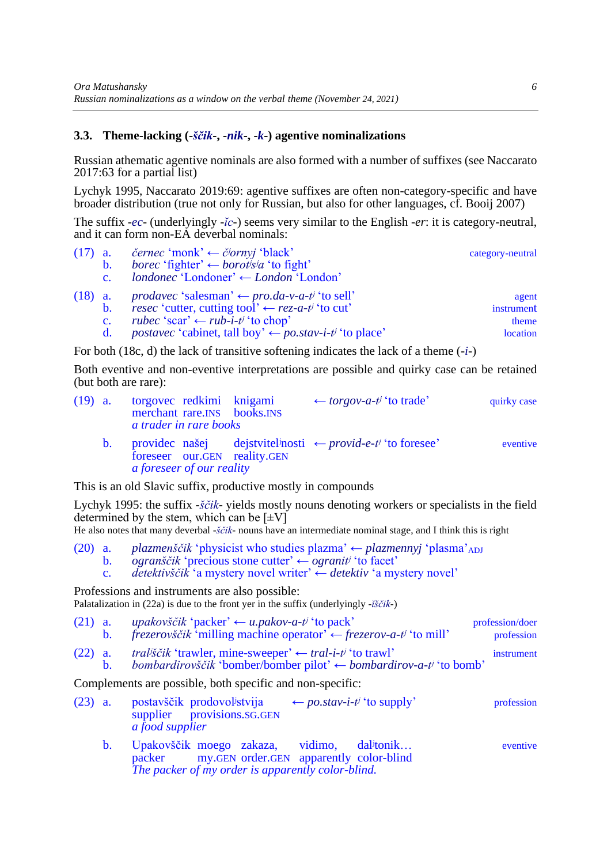## **3.3. Theme-lacking (-***ščik***-, -***nik***-, -***k***-) agentive nominalizations**

Russian athematic agentive nominals are also formed with a number of suffixes (see Naccarato 2017:63 for a partial list)

Lychyk 1995, Naccarato 2019:69: agentive suffixes are often non-category-specific and have broader distribution (true not only for Russian, but also for other languages, cf. Booij 2007)

The suffix -*ec*- (underlyingly -*ĭc*-) seems very similar to the English -*er*: it is category-neutral, and it can form non-EA deverbal nominals:

<span id="page-5-0"></span>

| $(17)$ a. |                | <i>černec</i> 'monk' ← <i>č</i> / <i>ornyj</i> 'black'                          | category-neutral |
|-----------|----------------|---------------------------------------------------------------------------------|------------------|
|           | $b_{1}$        | <i>borec</i> 'fighter' $\leftarrow$ <i>borotisia</i> 'to fight'                 |                  |
|           | $\mathbf{c}$ . | $\textit{londonec 'Londoner'} \leftarrow \textit{London 'London'}$              |                  |
| $(18)$ a. |                | $\textit{produce 'salesman'} \leftarrow \textit{pro.da-v-a-t' 'to sell'}$       | agent            |
|           | $\mathbf{b}$ . | resec 'cutter, cutting tool' $\leftarrow$ rez-a-t <sup>j</sup> 'to cut'         | instrument       |
|           | $\mathbf{c}$ . | rubec 'scar' $\leftarrow$ rub-i-t <sup>j</sup> 'to chop'                        | theme            |
|           | $\mathbf{d}$ . | <i>postavec</i> 'cabinet, tall boy' $\leftarrow$ <i>po.stav-i-t'</i> 'to place' | location         |
|           |                |                                                                                 |                  |

For both [\(18c](#page-5-0), d) the lack of transitive softening indicates the lack of a theme (-*i*-)

Both eventive and non-eventive interpretations are possible and quirky case can be retained (but both are rare):

| $(19)$ a. |         | torgovec redkimi knigami<br>merchant rare. INS books. INS<br>a trader in rare books | $\leftarrow$ torgov-a-t <sup>j</sup> 'to trade'                                | quirky case |
|-----------|---------|-------------------------------------------------------------------------------------|--------------------------------------------------------------------------------|-------------|
|           | $b_{1}$ | foreseer our.GEN reality.GEN<br>a foreseer of our reality                           | provided našej dejstviteľnosti $\leftarrow \text{provided} -e^{-t}$ to foresee | eventive    |
|           |         |                                                                                     |                                                                                |             |

This is an old Slavic suffix, productive mostly in compounds

Lychyk 1995: the suffix -*ščik*- yields mostly nouns denoting workers or specialists in the field determined by the stem, which can be  $[\pm V]$ 

He also notes that many deverbal -*ščik*- nouns have an intermediate nominal stage, and I think this is right

(20) a. *plazmenščik* 'physicist who studies plazma' ← *plazmennyj* 'plasma'ADJ b. *ogranščik* 'precious stone cutter' ← *ogranitʲ* 'to facet' c. *detektivščik* 'a mystery novel writer' ← *detektiv* 'a mystery novel'

Professions and instruments are also possible: Palatalization in [\(22a](#page-5-1)) is due to the front yer in the suffix (underlyingly -*ĭščik*-)

<span id="page-5-1"></span>

| $(21)$ a. | <i>upakovščik</i> 'packer' $\leftarrow u$ <i>pakov-a-tj</i> 'to pack'                     | profession/doer |
|-----------|-------------------------------------------------------------------------------------------|-----------------|
|           | $frezerox ščik 'milling machine operator' \leftarrow frezerox-a-t' 'to mill'$             | profession      |
| $(22)$ a. | <i>trališčik</i> 'trawler, mine-sweeper' $\leftarrow$ <i>tral-i-ti</i> 'to trawl'         | instrument      |
|           | bombardirovščik 'bomber/bomber pilot' $\leftarrow$ bombardirov-a-t <sup>j</sup> 'to bomb' |                 |

Complements are possible, both specific and non-specific:

| $(23)$ a. | postavščik prodovolistvija | $\leftarrow$ po.stav-i-t <sup>j</sup> 'to supply' | profession |
|-----------|----------------------------|---------------------------------------------------|------------|
|           | supplier provisions.SG.GEN |                                                   |            |
|           | <i>a food supplier</i>     |                                                   |            |

b. Upakovščik moego zakaza, vidimo, dalʲtonik… eventive my.GEN order.GEN apparently color-blind *The packer of my order is apparently color-blind.*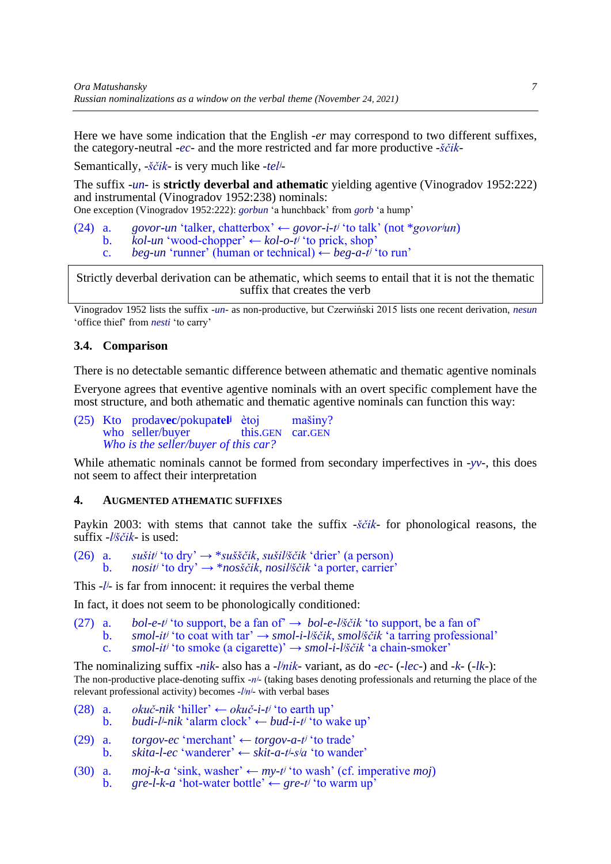Here we have some indication that the English -*er* may correspond to two different suffixes, the category-neutral -*ec*- and the more restricted and far more productive -*ščik*-

Semantically, -*ščik*- is very much like -*telʲ*-

The suffix -*un*- is **strictly deverbal and athematic** yielding agentive (Vinogradov 1952:222) and instrumental (Vinogradov 1952:238) nominals:

One exception (Vinogradov 1952:222): *gorbun* 'a hunchback' from *gorb* 'a hump'

(24) a. *govor-un* 'talker, chatterbox' ← *govor-i-tʲ* 'to talk' (not \**govorʲun*)

- b. *kol-un* 'wood-chopper' ← *kol-o-tʲ* 'to prick, shop'
	- c. *beg-un* 'runner' (human or technical)  $\leftarrow$  *beg-a-t<sup>j</sup>* 'to run'

Strictly deverbal derivation can be athematic, which seems to entail that it is not the thematic suffix that creates the verb

Vinogradov 1952 lists the suffix -*un*- as non-productive, but Czerwiński 2015 lists one recent derivation, *nesun* 'office thief' from *nesti* 'to carry'

### **3.4. Comparison**

There is no detectable semantic difference between athematic and thematic agentive nominals

Everyone agrees that eventive agentive nominals with an overt specific complement have the most structure, and both athematic and thematic agentive nominals can function this way:

(25) Kto prodav**ec**/pokupa**telʲ** ètoj mašiny? who seller/buyer *Who is the seller/buyer of this car?*

While athematic nominals cannot be formed from secondary imperfectives in -*yv*-, this does not seem to affect their interpretation

#### **4. AUGMENTED ATHEMATIC SUFFIXES**

Paykin 2003: with stems that cannot take the suffix -*ščik*- for phonological reasons, the suffix -*lʲščik*- is used:

(26) a. *sušitʲ* 'to dry' → \**sušščik*, *sušilʲščik* 'drier' (a person) b. *nositʲ* 'to dry' → \**nosščik*, *nosilʲščik* 'a porter, carrier'

This -*lʲ*- is far from innocent: it requires the verbal theme

In fact, it does not seem to be phonologically conditioned:

(27) a. *bol-e-t<sup>j*</sup> 'to support, be a fan of'  $\rightarrow$  *bol-e-l<sup>j</sup>ščik* 'to support, be a fan of' b. *smol-it<sup>j</sup>* 'to coat with tar'  $\rightarrow$  *smol-i-l<sup>j</sup>ščik*, *smol<sup>j</sup>ščik* 'a tarring professional' c. *smol-itʲ* 'to smoke (a cigarette)' → *smol-i-lʲščik* 'a chain-smoker'

The nominalizing suffix -*nik*- also has a -*lʲnik*- variant, as do -*ec*- (-*lec*-) and -*k*- (-*lk*-): The non-productive place-denoting suffix -*nʲ*- (taking bases denoting professionals and returning the place of the relevant professional activity) becomes -*lʲnʲ*- with verbal bases

- (28) a. *okuč-nik* 'hiller'  $\leftarrow$  *okuč-i-t<sup>j</sup>* 'to earth up' b. *budi-lʲ-nik* 'alarm clock' ← *bud-i-tʲ* 'to wake up' (29) a. *torgov-ec* 'merchant' ← *torgov-a-tʲ* 'to trade' b. *skita-l-ec* 'wanderer' ← *skit-a-tʲ-sʲa* 'to wander'
- (30) a. *moj-k-a* 'sink, washer'  $\leftarrow mv$ -t<sup>*j*</sup> 'to wash' (cf. imperative *moj*) b. *gre-l-k-a* 'hot-water bottle'  $\leftarrow$  *gre-t<sup>j</sup>* 'to warm up'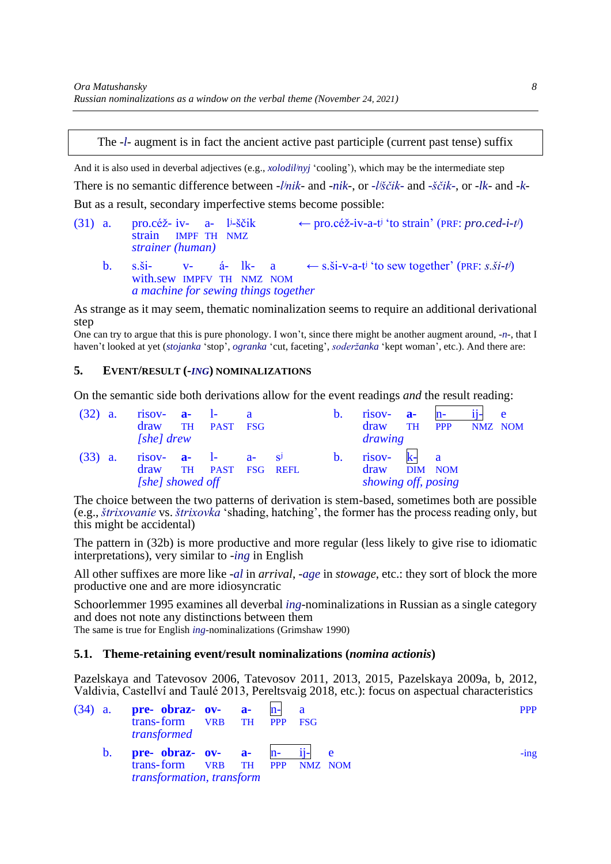# The -*l*- augment is in fact the ancient active past participle (current past tense) suffix

And it is also used in deverbal adjectives (e.g., *xolodilʲnyj* 'cooling'), which may be the intermediate step There is no semantic difference between -*lʲnik*- and -*nik*-, or *-lʲščik-* and *-ščik-*, or -*lk*- and -*k*-But as a result, secondary imperfective stems become possible:

- (31) a. pro.céž- iv- a- l<sup>j</sup>-ščik ← pro.céž-iv-a-t<sup>j</sup> 'to strain' (PRF: *pro.ced-i-t<sup>j</sup>*) strain IMPF TH NMZ *strainer (human)*
	- b. s.ši- v- á- lk- a  $\leftarrow s.\dot{s}i-v-a-t\dot{v}$  to sew together' (PRF: *s.ši-t<sup>i</sup>*) with.sew IMPFV TH NMZ NOM *a machine for sewing things together*

As strange as it may seem, thematic nominalization seems to require an additional derivational step

One can try to argue that this is pure phonology. I won't, since there might be another augment around, -*n*-, that I haven't looked at yet (*stojanka* 'stop', *ogranka* 'cut, faceting', *soderžanka* 'kept woman', etc.). And there are:

#### **5. EVENT/RESULT (-***ING***) NOMINALIZATIONS**

On the semantic side both derivations allow for the event readings *and* the result reading:

<span id="page-7-0"></span>

| (32)      | <b>a</b> . | $risov-$ <b>a-</b> $l-$<br>draw<br>$[she]$ drew    | <b>TH</b> | PAST FSG         |  | b.             | $risov-$ <b>a</b> -<br>draw<br>drawing | TH   | <b>PPP</b>              | NMZ NOM | $\mathbf{e}$ |
|-----------|------------|----------------------------------------------------|-----------|------------------|--|----------------|----------------------------------------|------|-------------------------|---------|--------------|
| $(33)$ a. |            | risov- $a-$ 1- $a s^j$<br>draw<br>[she] showed off |           | TH PAST FSG REFL |  | $\mathbf{b}$ . | risov-<br>draw<br>showing off, posing  | $k-$ | $\mathbf{a}$<br>DIM NOM |         |              |

The choice between the two patterns of derivation is stem-based, sometimes both are possible (e.g., *štrixovanie* vs. *štrixovka* 'shading, hatching', the former has the process reading only, but this might be accidental)

The pattern in [\(32b](#page-7-0)) is more productive and more regular (less likely to give rise to idiomatic interpretations), very similar to -*ing* in English

All other suffixes are more like -*al* in *arrival*, -*age* in *stowage*, etc.: they sort of block the more productive one and are more idiosyncratic

Schoorlemmer 1995 examines all deverbal *ing*-nominalizations in Russian as a single category and does not note any distinctions between them The same is true for English *ing*-nominalizations (Grimshaw 1990)

#### **5.1. Theme-retaining event/result nominalizations (***nomina actionis***)**

Pazelskaya and Tatevosov 2006, Tatevosov 2011, 2013, 2015, Pazelskaya 2009a, b, 2012, Valdivia, Castellví and Taulé 2013, Pereltsvaig 2018, etc.): focus on aspectual characteristics

|  |                | (34) a. <b>pre-</b> obraz- ov- <b>a-</b><br>trans-form VRB TH PPP FSG<br>transformed       |  | $n-1$ a |  | <b>PPP</b> |
|--|----------------|--------------------------------------------------------------------------------------------|--|---------|--|------------|
|  | $\mathbf{b}$ . | pre- obraz- $ov-$ a- $n ii-$<br>trans-form VRB TH PPP NMZ NOM<br>transformation, transform |  |         |  | $-$ ing    |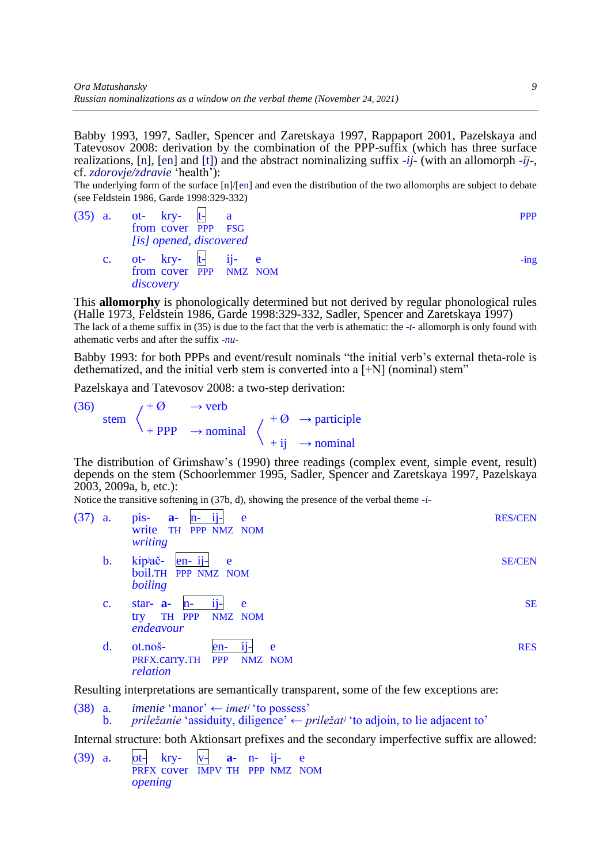Babby 1993, 1997, Sadler, Spencer and Zaretskaya 1997, Rappaport 2001, Pazelskaya and Tatevosov 2008: derivation by the combination of the PPP-suffix (which has three surface realizations, [n], [en] and [t]) and the abstract nominalizing suffix -*ij*- (with an allomorph -*ĭj*-, cf. *zdorovje/zdravie* 'health'):

The underlying form of the surface [n]/[en] and even the distribution of the two allomorphs are subject to debate (see Feldstein 1986, Garde 1998:329-332)

<span id="page-8-0"></span>

|                | $(35)$ a. ot- kry- t- a                                     |  | <b>PPP</b> |
|----------------|-------------------------------------------------------------|--|------------|
|                | from cover PPP FSG                                          |  |            |
|                | [is] opened, discovered                                     |  |            |
| $\mathbf{c}$ . | ot- $kry t-$ ij- $e$<br>from cover PPP NMZ NOM<br>discovery |  | $-$ ing    |

This **allomorphy** is phonologically determined but not derived by regular phonological rules (Halle 1973, Feldstein 1986, Garde 1998:329-332, Sadler, Spencer and Zaretskaya 1997) The lack of a theme suffix in [\(35\)](#page-8-0) is due to the fact that the verb is athematic: the -*t*- allomorph is only found with athematic verbs and after the suffix -*nu*-

Babby 1993: for both PPPs and event/result nominals "the initial verb's external theta-role is dethematized, and the initial verb stem is converted into a [+N] (nominal) stem"

Pazelskaya and Tatevosov 2008: a two-step derivation:

(36)  $/ + \emptyset \rightarrow verb$ stem  $\langle \qquad \qquad +\varnothing \rightarrow$  participle  $+$  PPP  $\rightarrow$  nominal  $+ i j \rightarrow nominal$ 

The distribution of Grimshaw's (1990) three readings (complex event, simple event, result) depends on the stem (Schoorlemmer 1995, Sadler, Spencer and Zaretskaya 1997, Pazelskaya 2003, 2009a, b, etc.):

Notice the transitive softening in [\(37b](#page-8-1), d), showing the presence of the verbal theme -*i*-

<span id="page-8-1"></span>

| (37) | a.             | $ii -$<br>pis-<br>$a-$<br>$n-$<br>e<br>write<br>PPP NMZ NOM<br><b>TH</b><br>writing   | <b>RES/CEN</b> |
|------|----------------|---------------------------------------------------------------------------------------|----------------|
|      | $\mathbf{b}$ . | $en- ij-$<br>kip <sup>j</sup> ač-<br>e<br>boil.TH PPP NMZ NOM<br>boiling              | <b>SE/CEN</b>  |
|      | $\mathbf{c}$ . | star- $a-$<br>e<br>$11 -$<br>$n-$<br>TH PPP<br>NMZ NOM<br>try<br>endeavour            | <b>SE</b>      |
|      | $\mathbf{d}$ . | ot.noš-<br>$en-$<br>$11 -$<br>e<br><b>PPP</b><br>PRFX.carry.TH<br>NMZ NOM<br>relation | <b>RES</b>     |

Resulting interpretations are semantically transparent, some of the few exceptions are:

(38) a. *imenie* 'manor'  $\leftarrow$  *imet<sup>j</sup>* 'to possess' b. *priležanie* 'assiduity, diligence' ← *priležatʲ* 'to adjoin, to lie adjacent to'

Internal structure: both Aktionsart prefixes and the secondary imperfective suffix are allowed:

(39) a. ot- kry- v- **a-** n- ij- e PRFX cover IMPV TH PPP NMZ NOM *opening*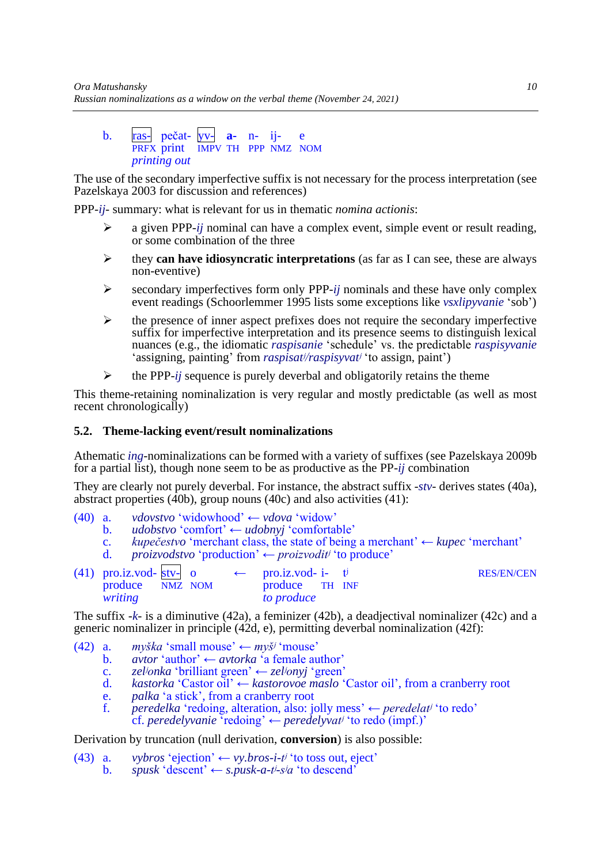#### b. ras- pečat- yv- **a-** n- ij- e PRFX print IMPV TH PPP NMZ NOM *printing out*

The use of the secondary imperfective suffix is not necessary for the process interpretation (see Pazelskaya 2003 for discussion and references)

PPP-*ij*- summary: what is relevant for us in thematic *nomina actionis*:

- ➢ a given PPP-*ij* nominal can have a complex event, simple event or result reading, or some combination of the three
- ➢ they **can have idiosyncratic interpretations** (as far as I can see, these are always non-eventive)
- ➢ secondary imperfectives form only PPP-*ij* nominals and these have only complex event readings (Schoorlemmer 1995 lists some exceptions like *vsxlipyvanie* 'sob')
- ➢ the presence of inner aspect prefixes does not require the secondary imperfective suffix for imperfective interpretation and its presence seems to distinguish lexical nuances (e.g., the idiomatic *raspisanie* 'schedule' vs. the predictable *raspisyvanie* 'assigning, painting' from *raspisatʲ/raspisyvatʲ* 'to assign, paint')
- ➢ the PPP-*ij* sequence is purely deverbal and obligatorily retains the theme

This theme-retaining nominalization is very regular and mostly predictable (as well as most recent chronologically)

#### **5.2. Theme-lacking event/result nominalizations**

Athematic *ing*-nominalizations can be formed with a variety of suffixes (see Pazelskaya 2009b for a partial list), though none seem to be as productive as the PP-*ij* combination

They are clearly not purely deverbal. For instance, the abstract suffix -*stv*- derives states [\(40a](#page-9-0)), abstract properties [\(40b](#page-9-0)), group nouns [\(40c](#page-9-0)) and also activities [\(41\)](#page-9-1):

- <span id="page-9-0"></span>(40) a. *vdovstvo* 'widowhood' ← *vdova* 'widow'
	- b. *udobstvo* 'comfort' ← *udobnyj* 'comfortable'
	- c. *kupečestvo* 'merchant class, the state of being a merchant' ← *kupec* 'merchant'
	- d. *proizvodstvo* 'production' ← *proizvoditʲ* 'to produce'

<span id="page-9-1"></span>

| $(41)$ pro.iz.vod-stv- o |  | $\leftarrow$ pro.iz.vod- i- t |  | <b>RES/EN/CEN</b> |
|--------------------------|--|-------------------------------|--|-------------------|
| produce NMZ NOM          |  | produce TH INF                |  |                   |
| writing                  |  | <i>to produce</i>             |  |                   |

The suffix -*k*- is a diminutive [\(42a](#page-9-2)), a feminizer [\(42b](#page-9-2)), a deadjectival nominalizer [\(42c](#page-9-2)) and a generic nominalizer in principle [\(42d](#page-9-2), e), permitting deverbal nominalization [\(42f](#page-9-2)):

- <span id="page-9-2"></span>(42) a. *myška* 'small mouse'  $\leftarrow$  *myš<sup>j</sup>* 'mouse'
	- b. *avtor* 'author' ← *avtorka* 'a female author'
	- c. *zelʲonka* 'brilliant green' ← *zelʲonyj* 'green'
	- d. *kastorka* 'Castor oil' ← *kastorovoe maslo* 'Castor oil', from a cranberry root
	- e. *palka* 'a stick', from a cranberry root
	- f. *peredelka* 'redoing, alteration, also: jolly mess' ← *peredelatʲ* 'to redo' cf. *peredelyvanie* 'redoing' ← *peredelyvatʲ* 'to redo (impf.)'

### Derivation by truncation (null derivation, **conversion**) is also possible:

<span id="page-9-3"></span>(43) a. *vybros* 'ejection'  $\leftarrow$  *vy.bros-i-t<sup>j</sup>* 'to toss out, eject' b. *spusk* 'descent'  $\leftarrow$  *s.pusk-a-t<sup>j</sup>-s<sup>j</sup>a* 'to descend'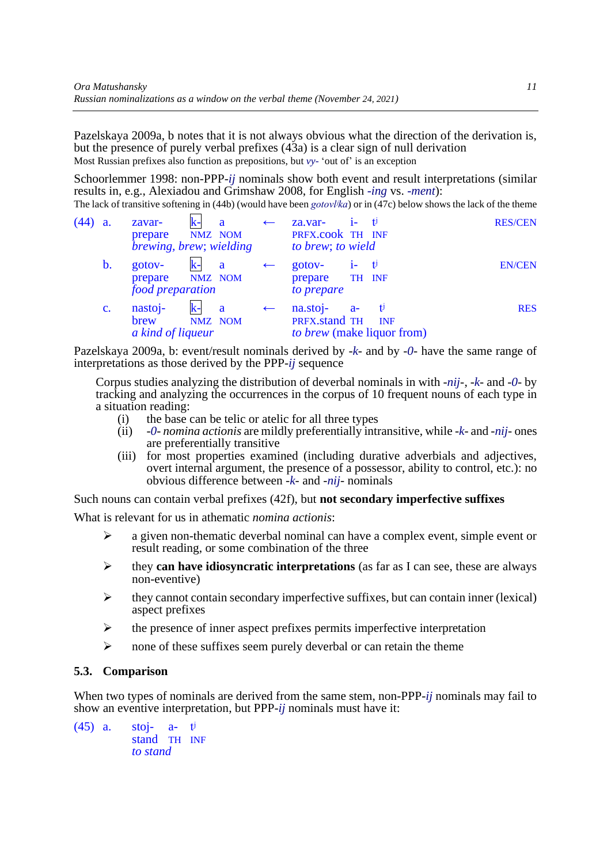Pazelskaya 2009a, b notes that it is not always obvious what the direction of the derivation is, but the presence of purely verbal prefixes [\(43a](#page-9-3)) is a clear sign of null derivation Most Russian prefixes also function as prepositions, but *vy-* 'out of' is an exception

Schoorlemmer 1998: non-PPP-*ij* nominals show both event and result interpretations (similar results in, e.g., Alexiadou and Grimshaw 2008, for English *-ing* vs. *-ment*):

The lack of transitive softening in [\(44b](#page-10-0)) (would have been *gotovlʲka*) or in [\(47c](#page-11-0)) below shows the lack of the theme

<span id="page-10-0"></span>

| (44) | <b>a</b> .     | zavar-<br>prepare<br><i>brewing, brew; wielding</i>  | $\mathbf{k}$ - | a<br>NMZ NOM | $\leftarrow$ | za.var-<br>PRFX.cook TH INF<br>to brew; to wield |       | – t                                           | <b>RES/CEN</b> |
|------|----------------|------------------------------------------------------|----------------|--------------|--------------|--------------------------------------------------|-------|-----------------------------------------------|----------------|
|      | b.             | gotov-<br>prepare NMZ NOM<br><i>food preparation</i> | $\mathbf{k}$ - | a            | $\leftarrow$ | gotov-<br>prepare<br>to prepare                  | $1 -$ | $-t$<br>TH INF                                | <b>EN/CEN</b>  |
|      | $\mathbf{c}$ . | nastoj-<br>brew<br>a kind of liqueur                 |                | a<br>NMZ NOM | $\leftarrow$ | na.stoj-<br>PRFX.stand TH                        | $a-$  | v<br><b>INF</b><br>to brew (make liquor from) | <b>RES</b>     |

Pazelskaya 2009a, b: event/result nominals derived by -*k*- and by -*0*- have the same range of interpretations as those derived by the PPP-*ij* sequence

Corpus studies analyzing the distribution of deverbal nominals in with -*nij*-, -*k*- and -*0*- by tracking and analyzing the occurrences in the corpus of 10 frequent nouns of each type in a situation reading:

- (i) the base can be telic or atelic for all three types
- (ii) -*0 nomina actionis* are mildly preferentially intransitive, while -*k* and -*nij* ones are preferentially transitive
- (iii) for most properties examined (including durative adverbials and adjectives, overt internal argument, the presence of a possessor, ability to control, etc.): no obvious difference between -*k*- and -*nij*- nominals

Such nouns can contain verbal prefixes [\(42f](#page-9-2)), but **not secondary imperfective suffixes**

What is relevant for us in athematic *nomina actionis*:

- $\triangleright$  a given non-thematic deverbal nominal can have a complex event, simple event or result reading, or some combination of the three
- ➢ they **can have idiosyncratic interpretations** (as far as I can see, these are always non-eventive)
- $\triangleright$  they cannot contain secondary imperfective suffixes, but can contain inner (lexical) aspect prefixes
- $\triangleright$  the presence of inner aspect prefixes permits imperfective interpretation
- $\triangleright$  none of these suffixes seem purely deverbal or can retain the theme

## **5.3. Comparison**

When two types of nominals are derived from the same stem, non-PPP-*ij* nominals may fail to show an eventive interpretation, but PPP-*ij* nominals must have it:

(45) a. stoj- a- tʲ stand TH INF *to stand*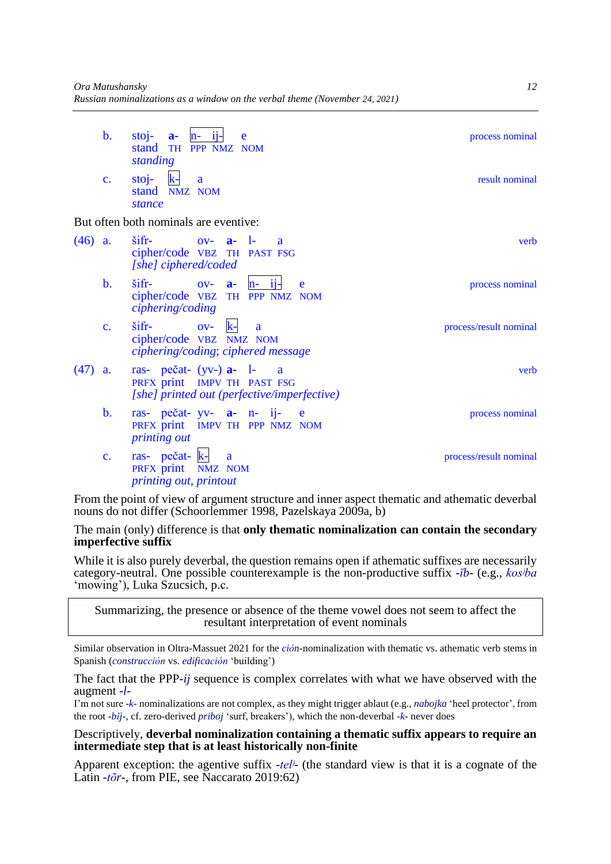| $\mathbf{b}$ . | stoj- $a - n - i$ j- e<br>stand TH PPP NMZ NOM | process nominal |
|----------------|------------------------------------------------|-----------------|
| $\mathbf{c}$ . | standing<br>$sto$ j-<br>a<br>stand NMZ NOM     | result nominal  |
|                | stance                                         |                 |
|                | But often both nominals are eventive:          |                 |

<span id="page-11-0"></span>

| verb                   | $\sin$<br>$0V - a - 1$<br>$\overline{a}$<br>cipher/code VBZ TH PAST FSG<br>[she] ciphered/coded                                             | $(46)$ a.      |
|------------------------|---------------------------------------------------------------------------------------------------------------------------------------------|----------------|
| process nominal        | $\text{Sifr}$ - $\text{OV}$ - $\text{a}$ -<br>$n-11-$<br>e<br>cipher/code VBZ TH PPP NMZ NOM<br>ciphering/coding                            | $\mathbf{b}$ . |
| process/result nominal | $\sin$<br>$\overline{\text{ov}}$ - $\overline{\text{k}}$ -<br><sub>a</sub><br>cipher/code VBZ NMZ NOM<br>ciphering/coding; ciphered message | $\mathbf{c}$ . |
| verb                   | ras- pečat- $(yv-)$ <b>a-</b> $l-$ a<br>PRFX print IMPV TH PAST FSG<br>[she] printed out (perfective/imperfective)                          | (47)<br>a.     |
| process nominal        | ras- $pe\check{c}at$ - $yy$ - $a$ - $n$ - $ij$ - $e$<br>PRFX print IMPV TH PPP NMZ NOM<br><i>printing out</i>                               | $\mathbf{b}$ . |
| process/result nominal | ras- pečat- k- a<br>PRFX print NMZ NOM<br>printing out, printout                                                                            | $\mathbf{c}$ . |

From the point of view of argument structure and inner aspect thematic and athematic deverbal nouns do not differ (Schoorlemmer 1998, Pazelskaya 2009a, b)

### The main (only) difference is that **only thematic nominalization can contain the secondary imperfective suffix**

While it is also purely deverbal, the question remains open if athematic suffixes are necessarily category-neutral. One possible counterexample is the non-productive suffix -*ĭb*- (e.g., *kosʲba* 'mowing'), Luka Szucsich, p.с.

Summarizing, the presence or absence of the theme vowel does not seem to affect the resultant interpretation of event nominals

Similar observation in Oltra-Massuet 2021 for the *ción*-nominalization with thematic vs. athematic verb stems in Spanish (*construcción* vs. *edificación* 'building')

The fact that the PPP-*ij* sequence is complex correlates with what we have observed with the augment -*l*-

I'm not sure -*k*- nominalizations are not complex, as they might trigger ablaut (e.g., *nabojka* 'heel protector', from the root -*bĭj*-, cf. zero-derived *priboj* 'surf, breakers'), which the non-deverbal -*k*- never does

#### Descriptively, **deverbal nominalization containing a thematic suffix appears to require an intermediate step that is at least historically non-finite**

Apparent exception: the agentive suffix -*telʲ*- (the standard view is that it is a cognate of the Latin -*tōr*-, from PIE, see Naccarato 2019:62)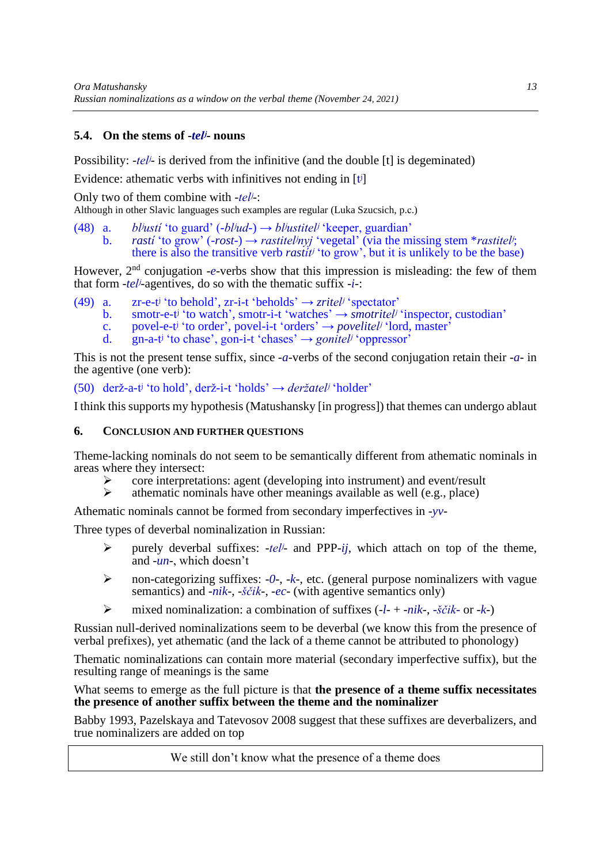# **5.4. On the stems of -***telʲ***- nouns**

Possibility: *-tel<sup>j</sup>*- is derived from the infinitive (and the double [t] is degeminated)

Evidence: athematic verbs with infinitives not ending in [t<sup>j</sup>]

Only two of them combine with -*telʲ*-:

Although in other Slavic languages such examples are regular (Luka Szucsich, p.с.)

- (48) a. *blʲustí* 'to guard' (-*blʲud*-) → *blʲustitelʲ* 'keeper, guardian'
	- b. *rastí* 'to grow' (-*rost*-) → *rastitelʲnyj* 'vegetal' (via the missing stem \**rastitelʲ*; there is also the transitive verb *rastítʲ* 'to grow', but it is unlikely to be the base)

However, 2<sup>nd</sup> conjugation -*e*-verbs show that this impression is misleading: the few of them that form -*telʲ*-agentives, do so with the thematic suffix -*i*-:

- (49) a. zr-e-t<sup>j</sup> 'to behold', zr-i-t 'beholds'  $\rightarrow$  *zritel<sup>j</sup>* 'spectator'
	- b. smotr-e-t<sup>*i*</sup> 'to watch', smotr-i-t 'watches'  $\rightarrow$  *smotritel<sup>j</sup>* 'inspector, custodian'
	- c. povel-e-tʲ 'to order', povel-i-t 'orders' → *povelitelʲ* 'lord, master'
	- d. gn-a-tʲ 'to chase', gon-i-t 'chases' → *gonitelʲ* 'oppressor'

This is not the present tense suffix, since -*a*-verbs of the second conjugation retain their -*a*- in the agentive (one verb):

(50) derž-a-tʲ 'to hold', derž-i-t 'holds' → *deržatelʲ* 'holder'

I think this supports my hypothesis (Matushansky [in progress]) that themes can undergo ablaut

#### **6. CONCLUSION AND FURTHER QUESTIONS**

Theme-lacking nominals do not seem to be semantically different from athematic nominals in areas where they intersect:

- $\triangleright$  core interpretations: agent (developing into instrument) and event/result  $\triangleright$  athematic nominals have other meanings available as well (e.g., place)
- ➢ athematic nominals have other meanings available as well (e.g., place)

Athematic nominals cannot be formed from secondary imperfectives in -*yv*-

Three types of deverbal nominalization in Russian:

- ➢ purely deverbal suffixes: -*telʲ* and PPP-*ij*, which attach on top of the theme, and -*un*-, which doesn't
- ➢ non-categorizing suffixes: -*0*-, -*k*-, etc. (general purpose nominalizers with vague semantics) and -*nik*-, -*ščik*-, -*ec*- (with agentive semantics only)
- ➢ mixed nominalization: a combination of suffixes (-*l* + -*nik*-, *-ščik-* or -*k*-)

Russian null-derived nominalizations seem to be deverbal (we know this from the presence of verbal prefixes), yet athematic (and the lack of a theme cannot be attributed to phonology)

Thematic nominalizations can contain more material (secondary imperfective suffix), but the resulting range of meanings is the same

What seems to emerge as the full picture is that **the presence of a theme suffix necessitates the presence of another suffix between the theme and the nominalizer**

Babby 1993, Pazelskaya and Tatevosov 2008 suggest that these suffixes are deverbalizers, and true nominalizers are added on top

We still don't know what the presence of a theme does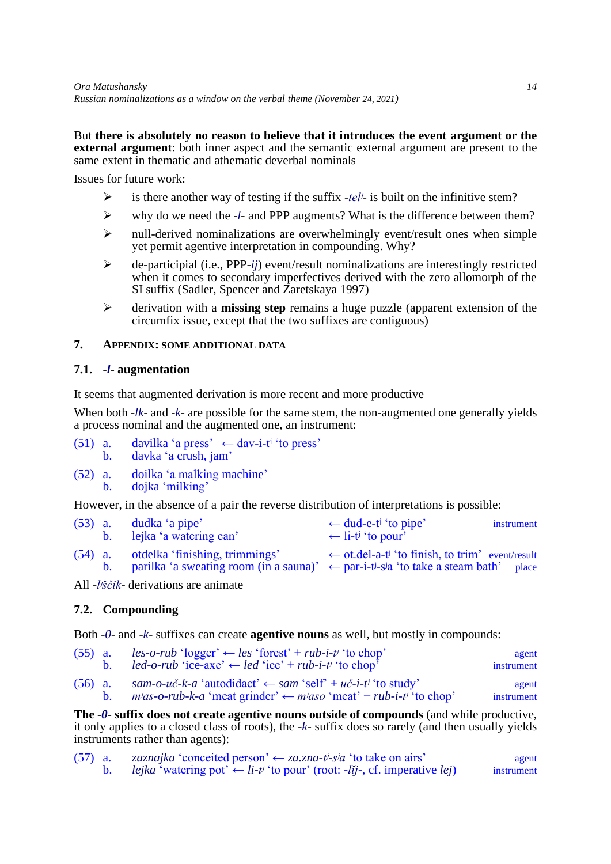But **there is absolutely no reason to believe that it introduces the event argument or the external argument**: both inner aspect and the semantic external argument are present to the same extent in thematic and athematic deverbal nominals

Issues for future work:

- ➢ is there another way of testing if the suffix -*telʲ* is built on the infinitive stem?
- ➢ why do we need the -*l* and PPP augments? What is the difference between them?
- $\triangleright$  null-derived nominalizations are overwhelmingly event/result ones when simple yet permit agentive interpretation in compounding. Why?
- ➢ de-participial (i.e., PPP-*ij*) event/result nominalizations are interestingly restricted when it comes to secondary imperfectives derived with the zero allomorph of the SI suffix (Sadler, Spencer and Zaretskaya 1997)
- ➢ derivation with a **missing step** remains a huge puzzle (apparent extension of the circumfix issue, except that the two suffixes are contiguous)

# **7. APPENDIX: SOME ADDITIONAL DATA**

### **7.1. -***l***- augmentation**

It seems that augmented derivation is more recent and more productive

When both -*lk*- and -*k*- are possible for the same stem, the non-augmented one generally yields a process nominal and the augmented one, an instrument:

- (51) a. davilka 'a press'  $\leftarrow$  dav-i-t<sup>j</sup> 'to press' b. davka 'a crush, jam'
- (52) a. doilka 'a malking machine' b. dojka 'milking'

However, in the absence of a pair the reverse distribution of interpretations is possible:

| $(53)$ a. | dudka 'a pipe'<br>b. lejka 'a watering can' | $\leftarrow$ dud-e-t <sup>j</sup> 'to pipe'<br>instrument<br>$\leftarrow$ li-t <sup>j</sup> 'to pour'                                                                                                |  |
|-----------|---------------------------------------------|------------------------------------------------------------------------------------------------------------------------------------------------------------------------------------------------------|--|
| $(54)$ a. | otdelka 'finishing, trimmings'              | $\leftarrow$ ot.del-a-t <sup>j</sup> 'to finish, to trim' event/result<br>b. parilka 'a sweating room (in a sauna)' $\leftarrow$ par-i-t <sup>i</sup> -s <sup>j</sup> a 'to take a steam bath' place |  |

All -*lʲščik*- derivations are animate

# **7.2. Compounding**

Both -*0*- and -*k*- suffixes can create **agentive nouns** as well, but mostly in compounds:

| $(55)$ a. | $les-o-rub$ 'logger' $\leftarrow$ les 'forest' + rub-i-t' 'to chop'<br>led-o-rub 'ice-axe' $\leftarrow$ led 'ice' + rub-i-t <sup>j</sup> 'to chop'                   | agent<br>instrument |
|-----------|----------------------------------------------------------------------------------------------------------------------------------------------------------------------|---------------------|
| $(56)$ a. | sam-o-uč-k-a 'autodidact' $\leftarrow$ sam 'self' + uč-i-t <sup>j</sup> 'to study'<br>$mias-o-rub-k-a$ 'meat grinder' $\leftarrow miaso$ 'meat' + rub-i-t' 'to chop' | agent<br>instrument |

**The -***0***- suffix does not create agentive nouns outside of compounds** (and while productive, it only applies to a closed class of roots), the -*k*- suffix does so rarely (and then usually yields instruments rather than agents):

| $(57)$ a. | zaznajka 'conceited person' $\leftarrow$ za.zna-t <sup>j</sup> -s <sup>j</sup> a 'to take on airs'                | agent      |
|-----------|-------------------------------------------------------------------------------------------------------------------|------------|
|           | <i>lejka</i> 'watering pot' $\leftarrow$ <i>li-t'</i> 'to pour' (root: <i>-lij-</i> , cf. imperative <i>lej</i> ) | instrument |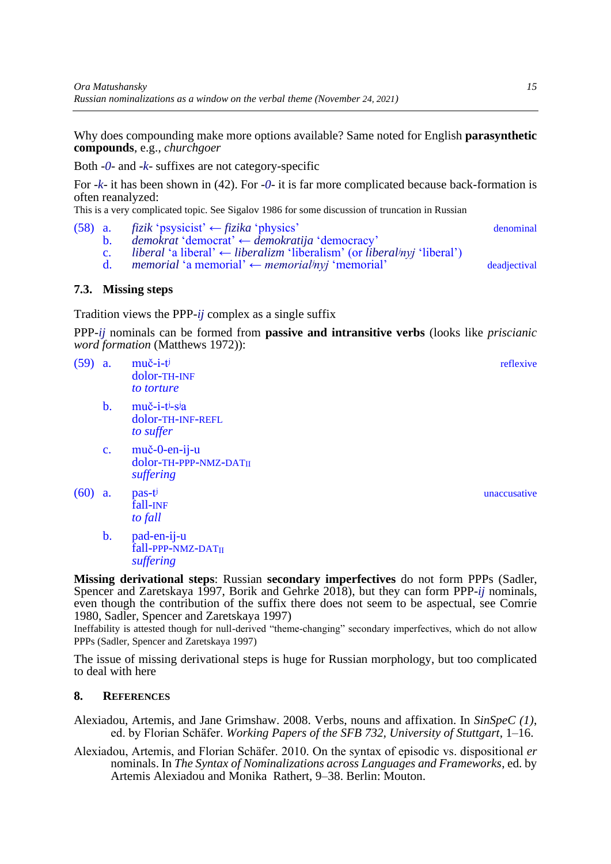Why does compounding make more options available? Same noted for English **parasynthetic compounds**, e.g., *churchgoer*

Both -*0*- and -*k*- suffixes are not category-specific

For -*k*- it has been shown in [\(42\)](#page-9-2). For -*0*- it is far more complicated because back-formation is often reanalyzed:

This is a very complicated topic. See Sigalov 1986 for some discussion of truncation in Russian

- (58) a. *fizik* 'psysicist' ← *fizika* 'physics' denominal
	-
	- b. *demokrat* 'democrat' ← *demokratija* 'democracy'
	- c. *liberal* 'a liberal' ← *liberalizm* 'liberalism' (or *liberalʲnyj* 'liberal')
	- d. *memorial* 'a memorial' ← *memorialʲnyj* 'memorial' deadjectival

#### **7.3. Missing steps**

Tradition views the PPP-*ij* complex as a single suffix

PPP-*ij* nominals can be formed from **passive and intransitive verbs** (looks like *priscianic word formation* (Matthews 1972)):

- (59) a. muč-i-tʲ reflexive dolor-TH-INF *to torture*
	- b. muč-i-tʲ-sʲa dolor-TH-INF-REFL *to suffer*
	- c. muč-0-en-ij-u dolor-TH-PPP-NMZ-DATII *suffering*
- $(60)$  a. pas-t<sup>j</sup> unaccusative fall-INF *to fall*
	- b. pad-en-ij-u fall-PPP-NMZ-DATII *suffering*

**Missing derivational steps**: Russian **secondary imperfectives** do not form PPPs (Sadler, Spencer and Zaretskaya 1997, Borik and Gehrke 2018), but they can form PPP-*ij* nominals, even though the contribution of the suffix there does not seem to be aspectual, see Comrie 1980, Sadler, Spencer and Zaretskaya 1997)

Ineffability is attested though for null-derived "theme-changing" secondary imperfectives, which do not allow PPPs (Sadler, Spencer and Zaretskaya 1997)

The issue of missing derivational steps is huge for Russian morphology, but too complicated to deal with here

## **8. REFERENCES**

Alexiadou, Artemis, and Jane Grimshaw. 2008. Verbs, nouns and affixation. In *SinSpeC (1)*, ed. by Florian Schäfer. *Working Papers of the SFB 732, University of Stuttgart*, 1–16.

Alexiadou, Artemis, and Florian Schäfer. 2010. On the syntax of episodic vs. dispositional *er* nominals. In *The Syntax of Nominalizations across Languages and Frameworks*, ed. by Artemis Alexiadou and Monika Rathert, 9–38. Berlin: Mouton.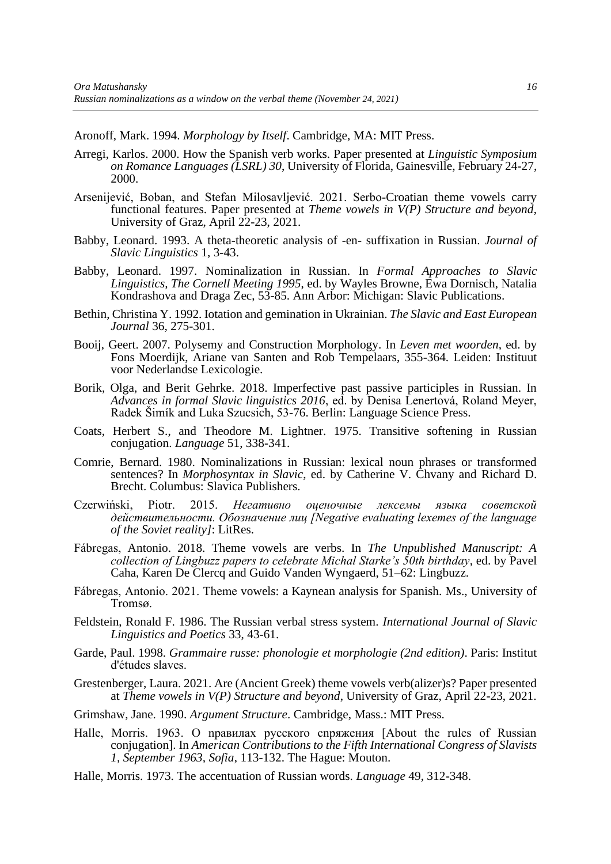Aronoff, Mark. 1994. *Morphology by Itself*. Cambridge, MA: MIT Press.

- Arregi, Karlos. 2000. How the Spanish verb works. Paper presented at *Linguistic Symposium on Romance Languages (LSRL) 30*, University of Florida, Gainesville, February 24-27, 2000.
- Arsenijević, Boban, and Stefan Milosavljević. 2021. Serbo-Croatian theme vowels carry functional features. Paper presented at *Theme vowels in V(P) Structure and beyond*, University of Graz, April 22-23, 2021.
- Babby, Leonard. 1993. A theta-theoretic analysis of -en- suffixation in Russian. *Journal of Slavic Linguistics* 1, 3-43.
- Babby, Leonard. 1997. Nominalization in Russian. In *Formal Approaches to Slavic Linguistics, The Cornell Meeting 1995*, ed. by Wayles Browne, Ewa Dornisch, Natalia Kondrashova and Draga Zec, 53-85. Ann Arbor: Michigan: Slavic Publications.
- Bethin, Christina Y. 1992. Iotation and gemination in Ukrainian. *The Slavic and East European Journal* 36, 275-301.
- Booij, Geert. 2007. Polysemy and Construction Morphology. In *Leven met woorden*, ed. by Fons Moerdijk, Ariane van Santen and Rob Tempelaars, 355-364. Leiden: Instituut voor Nederlandse Lexicologie.
- Borik, Olga, and Berit Gehrke. 2018. Imperfective past passive participles in Russian. In *Advances in formal Slavic linguistics 2016*, ed. by Denisa Lenertová, Roland Meyer, Radek Šimík and Luka Szucsich, 53-76. Berlin: Language Science Press.
- Coats, Herbert S., and Theodore M. Lightner. 1975. Transitive softening in Russian conjugation. *Language* 51, 338-341.
- Comrie, Bernard. 1980. Nominalizations in Russian: lexical noun phrases or transformed sentences? In *Morphosyntax in Slavic*, ed. by Catherine V. Chvany and Richard D. Brecht. Columbus: Slavica Publishers.
- Czerwiński, Piotr. 2015. *Негативно оценочные лексемы языка советской действительности. Обозначение лиц [Negative evaluating lexemes of the language of the Soviet reality]*: LitRes.
- Fábregas, Antonio. 2018. Theme vowels are verbs. In *The Unpublished Manuscript: A collection of Lingbuzz papers to celebrate Michal Starke's 50th birthday*, ed. by Pavel Caha, Karen De Clercq and Guido Vanden Wyngaerd, 51–62: Lingbuzz.
- Fábregas, Antonio. 2021. Theme vowels: a Kaynean analysis for Spanish. Ms., University of Tromsø.
- Feldstein, Ronald F. 1986. The Russian verbal stress system. *International Journal of Slavic Linguistics and Poetics* 33, 43-61.
- Garde, Paul. 1998. *Grammaire russe: phonologie et morphologie (2nd edition)*. Paris: Institut d'études slaves.
- Grestenberger, Laura. 2021. Are (Ancient Greek) theme vowels verb(alizer)s? Paper presented at *Theme vowels in V(P) Structure and beyond*, University of Graz, April 22-23, 2021.
- Grimshaw, Jane. 1990. *Argument Structure*. Cambridge, Mass.: MIT Press.
- Halle, Morris. 1963. O npaвилax pyccкoro cnpяжения [About the rules of Russian conjugation]. In *American Contributions to the Fifth International Congress of Slavists 1, September 1963, Sofia*, 113-132. The Hague: Mouton.
- Halle, Morris. 1973. The accentuation of Russian words. *Language* 49, 312-348.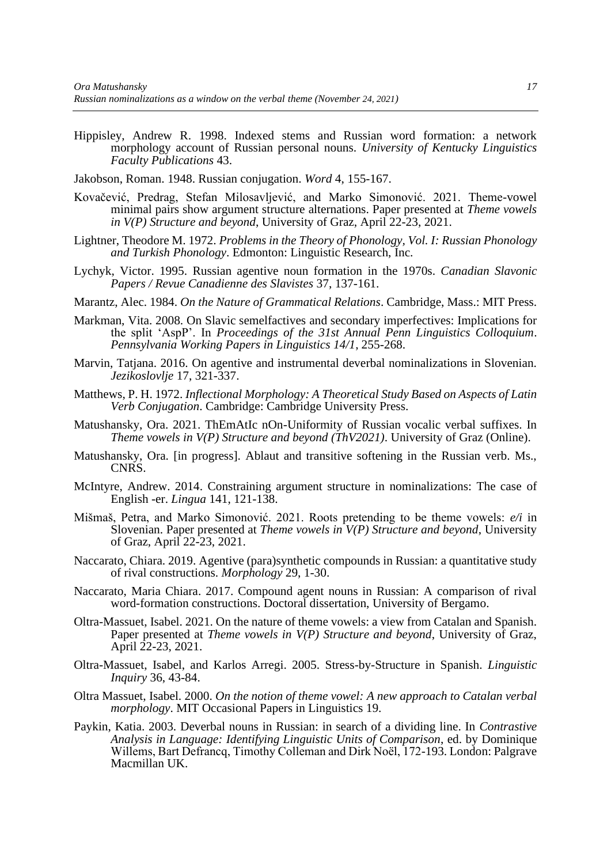Hippisley, Andrew R. 1998. Indexed stems and Russian word formation: a network morphology account of Russian personal nouns. *University of Kentucky Linguistics Faculty Publications* 43.

Jakobson, Roman. 1948. Russian conjugation. *Word* 4, 155-167.

- Kovačević, Predrag, Stefan Milosavljević, and Marko Simonović. 2021. Theme-vowel minimal pairs show argument structure alternations. Paper presented at *Theme vowels in V(P) Structure and beyond*, University of Graz, April 22-23, 2021.
- Lightner, Theodore M. 1972. *Problems in the Theory of Phonology, Vol. I: Russian Phonology and Turkish Phonology*. Edmonton: Linguistic Research, Inc.
- Lychyk, Victor. 1995. Russian agentive noun formation in the 1970s. *Canadian Slavonic Papers / Revue Canadienne des Slavistes* 37, 137-161.
- Marantz, Alec. 1984. *On the Nature of Grammatical Relations*. Cambridge, Mass.: MIT Press.
- Markman, Vita. 2008. On Slavic semelfactives and secondary imperfectives: Implications for the split 'AspP'. In *Proceedings of the 31st Annual Penn Linguistics Colloquium*. *Pennsylvania Working Papers in Linguistics 14/1*, 255-268.
- Marvin, Tatjana. 2016. On agentive and instrumental deverbal nominalizations in Slovenian. *Jezikoslovlje* 17, 321-337.
- Matthews, P. H. 1972. *Inflectional Morphology: A Theoretical Study Based on Aspects of Latin Verb Conjugation*. Cambridge: Cambridge University Press.
- Matushansky, Ora. 2021. ThEmAtIc nOn-Uniformity of Russian vocalic verbal suffixes. In *Theme vowels in V(P) Structure and beyond (ThV2021)*. University of Graz (Online).
- Matushansky, Ora. [in progress]. Ablaut and transitive softening in the Russian verb. Ms., CNRS.
- McIntyre, Andrew. 2014. Constraining argument structure in nominalizations: The case of English -er. *Lingua* 141, 121-138.
- Mišmaš, Petra, and Marko Simonović. 2021. Roots pretending to be theme vowels: *e/i* in Slovenian. Paper presented at *Theme vowels in V(P) Structure and beyond*, University of Graz, April 22-23, 2021.
- Naccarato, Chiara. 2019. Agentive (para)synthetic compounds in Russian: a quantitative study of rival constructions. *Morphology* 29, 1-30.
- Naccarato, Maria Chiara. 2017. Compound agent nouns in Russian: A comparison of rival word-formation constructions. Doctoral dissertation, University of Bergamo.
- Oltra-Massuet, Isabel. 2021. On the nature of theme vowels: a view from Catalan and Spanish. Paper presented at *Theme vowels in V(P) Structure and beyond*, University of Graz, April 22-23, 2021.
- Oltra-Massuet, Isabel, and Karlos Arregi. 2005. Stress-by-Structure in Spanish. *Linguistic Inquiry* 36, 43-84.
- Oltra Massuet, Isabel. 2000. *On the notion of theme vowel: A new approach to Catalan verbal morphology*. MIT Occasional Papers in Linguistics 19.
- Paykin, Katia. 2003. Deverbal nouns in Russian: in search of a dividing line. In *Contrastive Analysis in Language: Identifying Linguistic Units of Comparison*, ed. by Dominique Willems, Bart Defrancq, Timothy Colleman and Dirk Noël, 172-193. London: Palgrave Macmillan UK.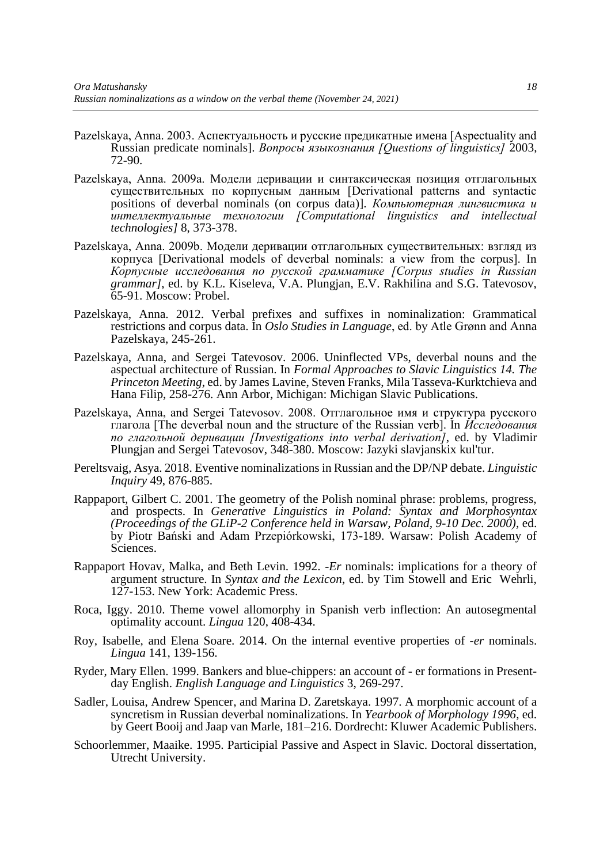- Pazelskaya, Anna. 2003. Аспектуальность и русские предикатные имена [Aspectuality and Russian predicate nominals]. *Вопросы языкознания [Questions of linguistics]* 2003, 72-90.
- Pazelskaya, Anna. 2009a. Модели деривации и синтаксическая позиция отглагольных существительных по корпусным данным [Derivational patterns and syntactic positions of deverbal nominals (on corpus data)]. *Компьютерная лингвистика и интеллектуальные технологии [Computational linguistics and intellectual technologies]* 8, 373-378.
- Pazelskaya, Anna. 2009b. Модели деривации отглагольных существительных: взгляд из корпуса [Derivational models of deverbal nominals: a view from the corpus]. In *Корпусные исследования по русской грамматике [Corpus studies in Russian grammar]*, ed. by K.L. Kiseleva, V.A. Plungjan, E.V. Rakhilina and S.G. Tatevosov, 65-91. Moscow: Probel.
- Pazelskaya, Anna. 2012. Verbal prefixes and suffixes in nominalization: Grammatical restrictions and corpus data. In *Oslo Studies in Language*, ed. by Atle Grønn and Anna Pazelskaya, 245-261.
- Pazelskaya, Anna, and Sergei Tatevosov. 2006. Uninflected VPs, deverbal nouns and the aspectual architecture of Russian. In *Formal Approaches to Slavic Linguistics 14. The Princeton Meeting*, ed. by James Lavine, Steven Franks, Mila Tasseva-Kurktchieva and Hana Filip, 258-276. Ann Arbor, Michigan: Michigan Slavic Publications.
- Pazelskaya, Anna, and Sergei Tatevosov. 2008. Отглагольное имя и структура русского глагола [The deverbal noun and the structure of the Russian verb]. In *Исследования по глагольной деривации [Investigations into verbal derivation]*, ed. by Vladimir Plungjan and Sergei Tatevosov, 348-380. Moscow: Jazyki slavjanskix kul'tur.
- Pereltsvaig, Asya. 2018. Eventive nominalizations in Russian and the DP/NP debate. *Linguistic Inquiry* 49, 876-885.
- Rappaport, Gilbert C. 2001. The geometry of the Polish nominal phrase: problems, progress, and prospects. In *Generative Linguistics in Poland: Syntax and Morphosyntax (Proceedings of the GLiP-2 Conference held in Warsaw, Poland, 9-10 Dec. 2000)*, ed. by Piotr Bański and Adam Przepiórkowski, 173-189. Warsaw: Polish Academy of Sciences.
- Rappaport Hovav, Malka, and Beth Levin. 1992. -*Er* nominals: implications for a theory of argument structure. In *Syntax and the Lexicon*, ed. by Tim Stowell and Eric Wehrli, 127-153. New York: Academic Press.
- Roca, Iggy. 2010. Theme vowel allomorphy in Spanish verb inflection: An autosegmental optimality account. *Lingua* 120, 408-434.
- Roy, Isabelle, and Elena Soare. 2014. On the internal eventive properties of -*er* nominals. *Lingua* 141, 139-156.
- Ryder, Mary Ellen. 1999. Bankers and blue-chippers: an account of er formations in Presentday English. *English Language and Linguistics* 3, 269-297.
- Sadler, Louisa, Andrew Spencer, and Marina D. Zaretskaya. 1997. A morphomic account of a syncretism in Russian deverbal nominalizations. In *Yearbook of Morphology 1996*, ed. by Geert Booij and Jaap van Marle, 181–216. Dordrecht: Kluwer Academic Publishers.
- Schoorlemmer, Maaike. 1995. Participial Passive and Aspect in Slavic. Doctoral dissertation, Utrecht University.